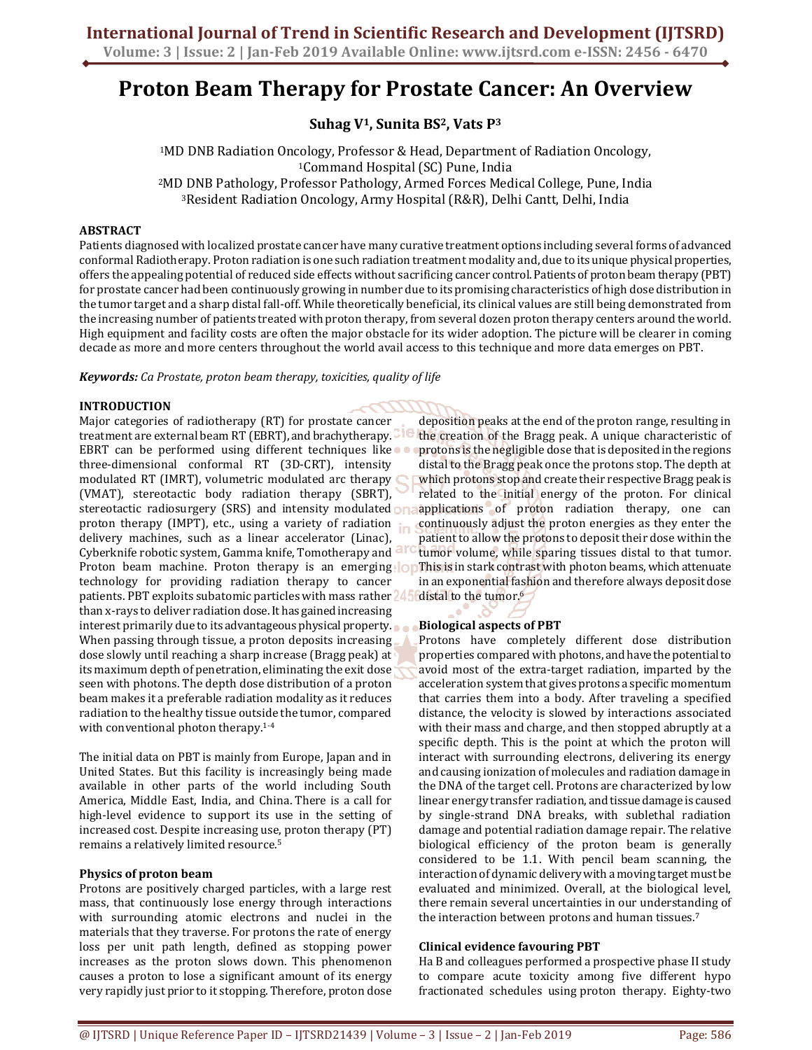# **Proton Beam Therapy for Prostate Cancer: An Overview**

**Suhag V1, Sunita BS2, Vats P<sup>3</sup>**

MD DNB Radiation Oncology, Professor & Head, Department of Radiation Oncology, Command Hospital (SC) Pune, India MD DNB Pathology, Professor Pathology, Armed Forces Medical College, Pune, India Resident Radiation Oncology, Army Hospital (R&R), Delhi Cantt, Delhi, India

## **ABSTRACT**

Patients diagnosed with localized prostate cancer have many curative treatment options including several forms of advanced conformal Radiotherapy. Proton radiation is one such radiation treatment modality and, due to its unique physical properties, offers the appealing potential of reduced side effects without sacrificing cancer control. Patients of proton beam therapy (PBT) for prostate cancer had been continuously growing in number due to its promising characteristics of high dose distribution in the tumor target and a sharp distal fall-off. While theoretically beneficial, its clinical values are still being demonstrated from the increasing number of patients treated with proton therapy, from several dozen proton therapy centers around the world. High equipment and facility costs are often the major obstacle for its wider adoption. The picture will be clearer in coming decade as more and more centers throughout the world avail access to this technique and more data emerges on PBT.

*Keywords: Ca Prostate, proton beam therapy, toxicities, quality of life* 

### **INTRODUCTION**

Major categories of radiotherapy (RT) for prostate cancer treatment are external beam RT (EBRT), and brachytherapy. EBRT can be performed using different techniques like three-dimensional conformal RT (3D-CRT), intensity modulated RT (IMRT), volumetric modulated arc therapy (VMAT), stereotactic body radiation therapy (SBRT), stereotactic radiosurgery (SRS) and intensity modulated on: proton therapy (IMPT), etc., using a variety of radiation  $\mathbf{r}$ delivery machines, such as a linear accelerator (Linac), Cyberknife robotic system, Gamma knife, Tomotherapy and Proton beam machine. Proton therapy is an emerging **OD** This is in stark contrast with photon beams, which attenuate technology for providing radiation therapy to cancer patients. PBT exploits subatomic particles with mass rather 245 than x-rays to deliver radiation dose. It has gained increasing interest primarily due to its advantageous physical property. When passing through tissue, a proton deposits increasing dose slowly until reaching a sharp increase (Bragg peak) at its maximum depth of penetration, eliminating the exit dose seen with photons. The depth dose distribution of a proton beam makes it a preferable radiation modality as it reduces radiation to the healthy tissue outside the tumor, compared with conventional photon therapy.1-4

The initial data on PBT is mainly from Europe, Japan and in United States. But this facility is increasingly being made available in other parts of the world including South America, Middle East, India, and China. There is a call for high-level evidence to support its use in the setting of increased cost. Despite increasing use, proton therapy (PT) remains a relatively limited resource.<sup>5</sup>

#### **Physics of proton beam**

Protons are positively charged particles, with a large rest mass, that continuously lose energy through interactions with surrounding atomic electrons and nuclei in the materials that they traverse. For protons the rate of energy loss per unit path length, defined as stopping power increases as the proton slows down. This phenomenon causes a proton to lose a significant amount of its energy very rapidly just prior to it stopping. Therefore, proton dose

deposition peaks at the end of the proton range, resulting in the creation of the Bragg peak. A unique characteristic of protons is the negligible dose that is deposited in the regions distal to the Bragg peak once the protons stop. The depth at which protons stop and create their respective Bragg peak is related to the initial energy of the proton. For clinical applications of proton radiation therapy, one can continuously adjust the proton energies as they enter the patient to allow the protons to deposit their dose within the tumor volume, while sparing tissues distal to that tumor. in an exponential fashion and therefore always deposit dose distal to the tumor.<sup>6</sup>

### **Biological aspects of PBT**

Protons have completely different dose distribution properties compared with photons, and have the potential to avoid most of the extra-target radiation, imparted by the acceleration system that gives protons a specific momentum that carries them into a body. After traveling a specified distance, the velocity is slowed by interactions associated with their mass and charge, and then stopped abruptly at a specific depth. This is the point at which the proton will interact with surrounding electrons, delivering its energy and causing ionization of molecules and radiation damage in the DNA of the target cell. Protons are characterized by low linear energy transfer radiation, and tissue damage is caused by single-strand DNA breaks, with sublethal radiation damage and potential radiation damage repair. The relative biological efficiency of the proton beam is generally considered to be 1.1. With pencil beam scanning, the interaction of dynamic delivery with a moving target must be evaluated and minimized. Overall, at the biological level, there remain several uncertainties in our understanding of the interaction between protons and human tissues.<sup>7</sup>

### **Clinical evidence favouring PBT**

Ha B and colleagues performed a prospective phase II study to compare acute toxicity among five different hypo fractionated schedules using proton therapy. Eighty-two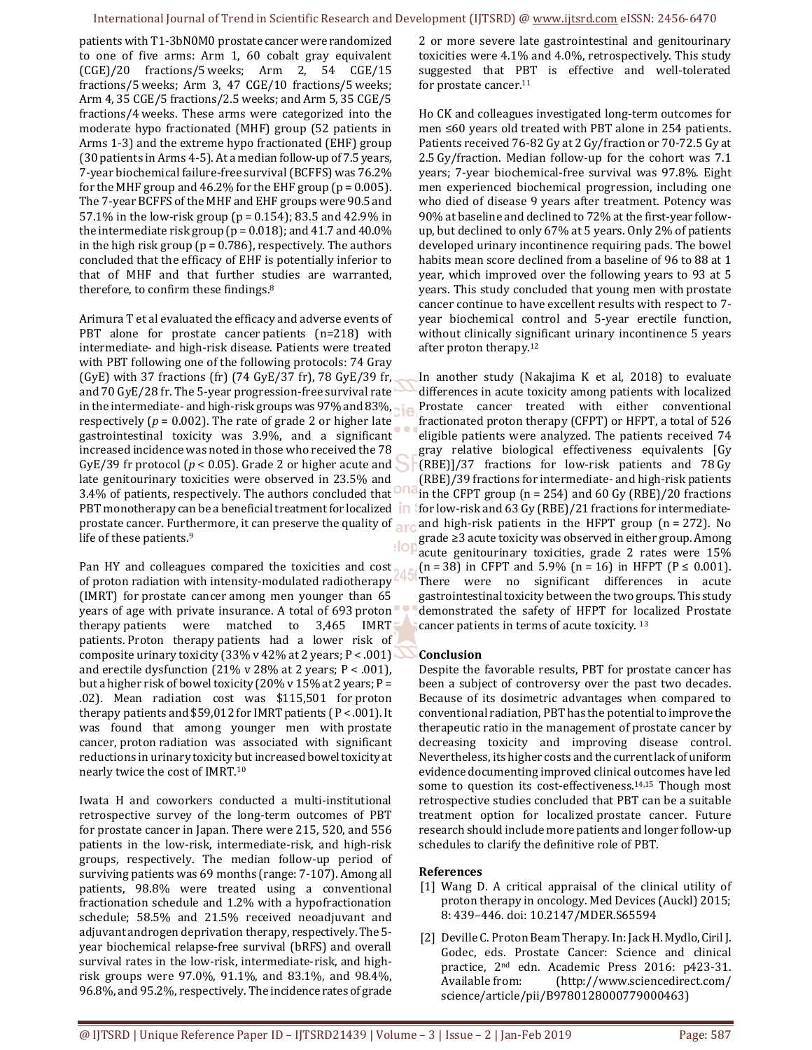#### International Journal of Trend in Scientific Research and Development (IJTSRD) @ www.ijtsrd.com eISSN: 2456-6470

patients with T1-3bN0M0 prostate cancer were randomized to one of five arms: Arm 1, 60 cobalt gray equivalent (CGE)/20 fractions/5 weeks; Arm 2, 54 CGE/15 fractions/5 weeks; Arm 3, 47 CGE/10 fractions/5 weeks; Arm 4, 35 CGE/5 fractions/2.5 weeks; and Arm 5, 35 CGE/5 fractions/4 weeks. These arms were categorized into the moderate hypo fractionated (MHF) group (52 patients in Arms 1-3) and the extreme hypo fractionated (EHF) group (30 patients in Arms 4-5). At a median follow-up of 7.5 years, 7-year biochemical failure-free survival (BCFFS) was 76.2% for the MHF group and  $46.2\%$  for the EHF group ( $p = 0.005$ ). The 7-year BCFFS of the MHF and EHF groups were 90.5 and 57.1% in the low-risk group (p = 0.154); 83.5 and 42.9% in the intermediate risk group ( $p = 0.018$ ); and 41.7 and 40.0% in the high risk group ( $p = 0.786$ ), respectively. The authors concluded that the efficacy of EHF is potentially inferior to that of MHF and that further studies are warranted, therefore, to confirm these findings.<sup>8</sup>

Arimura T et al evaluated the efficacy and adverse events of PBT alone for prostate cancer patients (n=218) with intermediate- and high-risk disease. Patients were treated with PBT following one of the following protocols: 74 Gray (GyE) with 37 fractions (fr) (74 GyE/37 fr), 78 GyE/39 fr, and 70 GyE/28 fr. The 5-year progression-free survival rate in the intermediate- and high-risk groups was 97% and 83%, respectively ( $p = 0.002$ ). The rate of grade 2 or higher late gastrointestinal toxicity was 3.9%, and a significant increased incidence was noted in those who received the 78 GyE/39 fr protocol (*p* < 0.05). Grade 2 or higher acute and late genitourinary toxicities were observed in 23.5% and 3.4% of patients, respectively. The authors concluded that PBT monotherapy can be a beneficial treatment for localized **in** prostate cancer. Furthermore, it can preserve the quality of arc life of these patients.<sup>9</sup>  $|o|$ 

Pan HY and colleagues compared the toxicities and cost of proton radiation with intensity-modulated radiotherapy (IMRT) for prostate cancer among men younger than 65 years of age with private insurance. A total of 693 proton therapy patients were matched to 3,465 IMRT patients. Proton therapy patients had a lower risk of composite urinary toxicity (33% v 42% at 2 years;  $P < .001$ ) and erectile dysfunction (21% v 28% at 2 years; P < .001), but a higher risk of bowel toxicity (20% v 15% at 2 years;  $P =$ .02). Mean radiation cost was \$115,501 for proton therapy patients and \$59,012 for IMRT patients ( P < .001). It was found that among younger men with prostate cancer, proton radiation was associated with significant reductions in urinary toxicity but increased bowel toxicity at nearly twice the cost of IMRT.<sup>10</sup>

Iwata H and coworkers conducted a multi-institutional retrospective survey of the long-term outcomes of PBT for prostate cancer in Japan. There were 215, 520, and 556 patients in the low-risk, intermediate-risk, and high-risk groups, respectively. The median follow-up period of surviving patients was 69 months (range: 7-107). Among all patients, 98.8% were treated using a conventional fractionation schedule and 1.2% with a hypofractionation schedule; 58.5% and 21.5% received neoadjuvant and adjuvant androgen deprivation therapy, respectively. The 5 year biochemical relapse-free survival (bRFS) and overall survival rates in the low-risk, intermediate-risk, and highrisk groups were 97.0%, 91.1%, and 83.1%, and 98.4%, 96.8%, and 95.2%, respectively. The incidence rates of grade

2 or more severe late gastrointestinal and genitourinary toxicities were 4.1% and 4.0%, retrospectively. This study suggested that PBT is effective and well-tolerated for prostate cancer.<sup>11</sup>

Ho CK and colleagues investigated long-term outcomes for men ≤60 years old treated with PBT alone in 254 patients. Patients received 76-82 Gy at 2 Gy/fraction or 70-72.5 Gy at 2.5 Gy/fraction. Median follow-up for the cohort was 7.1 years; 7-year biochemical-free survival was 97.8%. Eight men experienced biochemical progression, including one who died of disease 9 years after treatment. Potency was 90% at baseline and declined to 72% at the first-year followup, but declined to only 67% at 5 years. Only 2% of patients developed urinary incontinence requiring pads. The bowel habits mean score declined from a baseline of 96 to 88 at 1 year, which improved over the following years to 93 at 5 years. This study concluded that young men with prostate cancer continue to have excellent results with respect to 7 year biochemical control and 5-year erectile function, without clinically significant urinary incontinence 5 years after proton therapy.<sup>12</sup>

In another study (Nakajima K et al, 2018) to evaluate differences in acute toxicity among patients with localized Prostate cancer treated with either conventional fractionated proton therapy (CFPT) or HFPT, a total of 526 eligible patients were analyzed. The patients received 74 gray relative biological effectiveness equivalents [Gy (RBE)]/37 fractions for low-risk patients and 78 Gy (RBE)/39 fractions for intermediate- and high-risk patients in the CFPT group ( $n = 254$ ) and 60 Gy (RBE)/20 fractions for low-risk and 63 Gy (RBE)/21 fractions for intermediateand high-risk patients in the HFPT group (n = 272). No grade ≥3 acute toxicity was observed in either group. Among acute genitourinary toxicities, grade 2 rates were 15%  $(n = 38)$  in CFPT and 5.9%  $(n = 16)$  in HFPT  $(P \le 0.001)$ . There were no significant differences in acute gastrointestinal toxicity between the two groups. This study demonstrated the safety of HFPT for localized Prostate cancer patients in terms of acute toxicity. <sup>13</sup>

### **Conclusion**

Despite the favorable results, PBT for prostate cancer has been a subject of controversy over the past two decades. Because of its dosimetric advantages when compared to conventional radiation, PBT has the potential to improve the therapeutic ratio in the management of prostate cancer by decreasing toxicity and improving disease control. Nevertheless, its higher costs and the current lack of uniform evidence documenting improved clinical outcomes have led some to question its cost-effectiveness.<sup>14,15</sup> Though most retrospective studies concluded that PBT can be a suitable treatment option for localized prostate cancer. Future research should include more patients and longer follow-up schedules to clarify the definitive role of PBT.

### **References**

- [1] Wang D. A critical appraisal of the clinical utility of proton therapy in oncology. Med Devices (Auckl) 2015; 8: 439–446. doi: 10.2147/MDER.S65594
- [2] Deville C. Proton Beam Therapy. In: Jack H. Mydlo, Ciril J. Godec, eds. Prostate Cancer: Science and clinical practice, 2nd edn. Academic Press 2016: p423-31. Available from: (http://www.sciencedirect.com/ science/article/pii/B9780128000779000463)